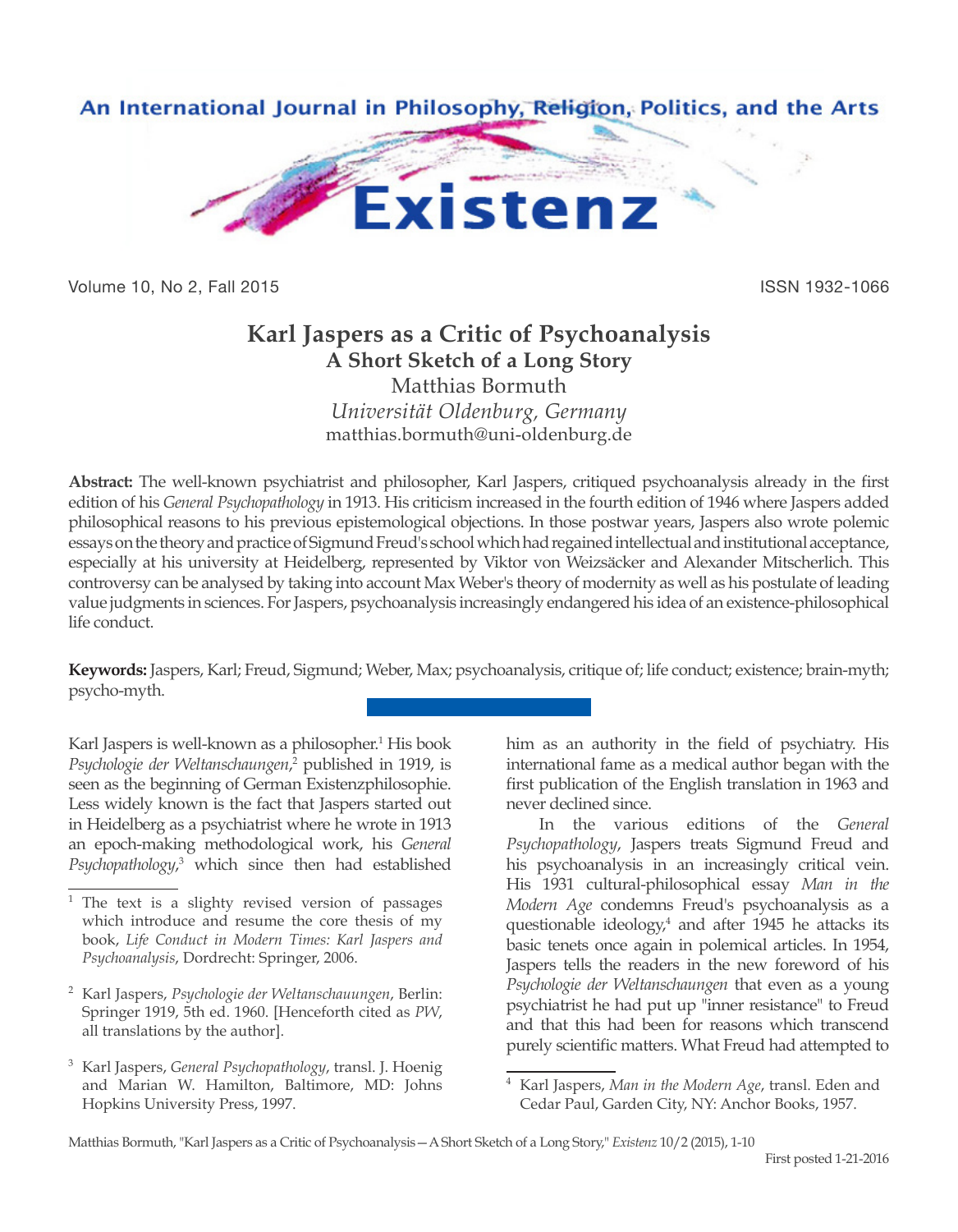

Volume 10, No 2, Fall 2015 **ISSN 1932-1066** 

## **Karl Jaspers as a Critic of Psychoanalysis A Short Sketch of a Long Story**

Matthias Bormuth *Universität Oldenburg, Germany* matthias.bormuth@uni-oldenburg.de

**Abstract:** The well-known psychiatrist and philosopher, Karl Jaspers, critiqued psychoanalysis already in the first edition of his *General Psychopathology* in 1913. His criticism increased in the fourth edition of 1946 where Jaspers added philosophical reasons to his previous epistemological objections. In those postwar years, Jaspers also wrote polemic essays on the theory and practice of Sigmund Freud's school which had regained intellectual and institutional acceptance, especially at his university at Heidelberg, represented by Viktor von Weizsäcker and Alexander Mitscherlich. This controversy can be analysed by taking into account Max Weber's theory of modernity as well as his postulate of leading value judgments in sciences. For Jaspers, psychoanalysis increasingly endangered his idea of an existence-philosophical life conduct.

**Keywords:** Jaspers, Karl; Freud, Sigmund; Weber, Max; psychoanalysis, critique of; life conduct; existence; brain-myth; psycho-myth.

Karl Jaspers is well-known as a philosopher.<sup>1</sup> His book Psychologie der Weltanschaungen,<sup>2</sup> published in 1919, is seen as the beginning of German Existenzphilosophie. Less widely known is the fact that Jaspers started out in Heidelberg as a psychiatrist where he wrote in 1913 an epoch-making methodological work, his *General Psychopathology*, 3 which since then had established him as an authority in the field of psychiatry. His international fame as a medical author began with the first publication of the English translation in 1963 and never declined since.

In the various editions of the *General Psychopathology*, Jaspers treats Sigmund Freud and his psychoanalysis in an increasingly critical vein. His 1931 cultural-philosophical essay *Man in the Modern Age* condemns Freud's psychoanalysis as a questionable ideology,<sup>4</sup> and after 1945 he attacks its basic tenets once again in polemical articles. In 1954, Jaspers tells the readers in the new foreword of his *Psychologie der Weltanschaungen* that even as a young psychiatrist he had put up "inner resistance" to Freud and that this had been for reasons which transcend purely scientific matters. What Freud had attempted to

The text is a slighty revised version of passages which introduce and resume the core thesis of my book, *Life Conduct in Modern Times: Karl Jaspers and Psychoanalysis*, Dordrecht: Springer, 2006.

<sup>2</sup> Karl Jaspers, *Psychologie der Weltanschauungen*, Berlin: Springer 1919, 5th ed. 1960. [Henceforth cited as *PW*, all translations by the author].

<sup>3</sup> Karl Jaspers, *General Psychopathology*, transl. J. Hoenig and Marian W. Hamilton, Baltimore, MD: Johns Hopkins University Press, 1997.

<sup>4</sup> Karl Jaspers, *Man in the Modern Age*, transl. Eden and Cedar Paul, Garden City, NY: Anchor Books, 1957.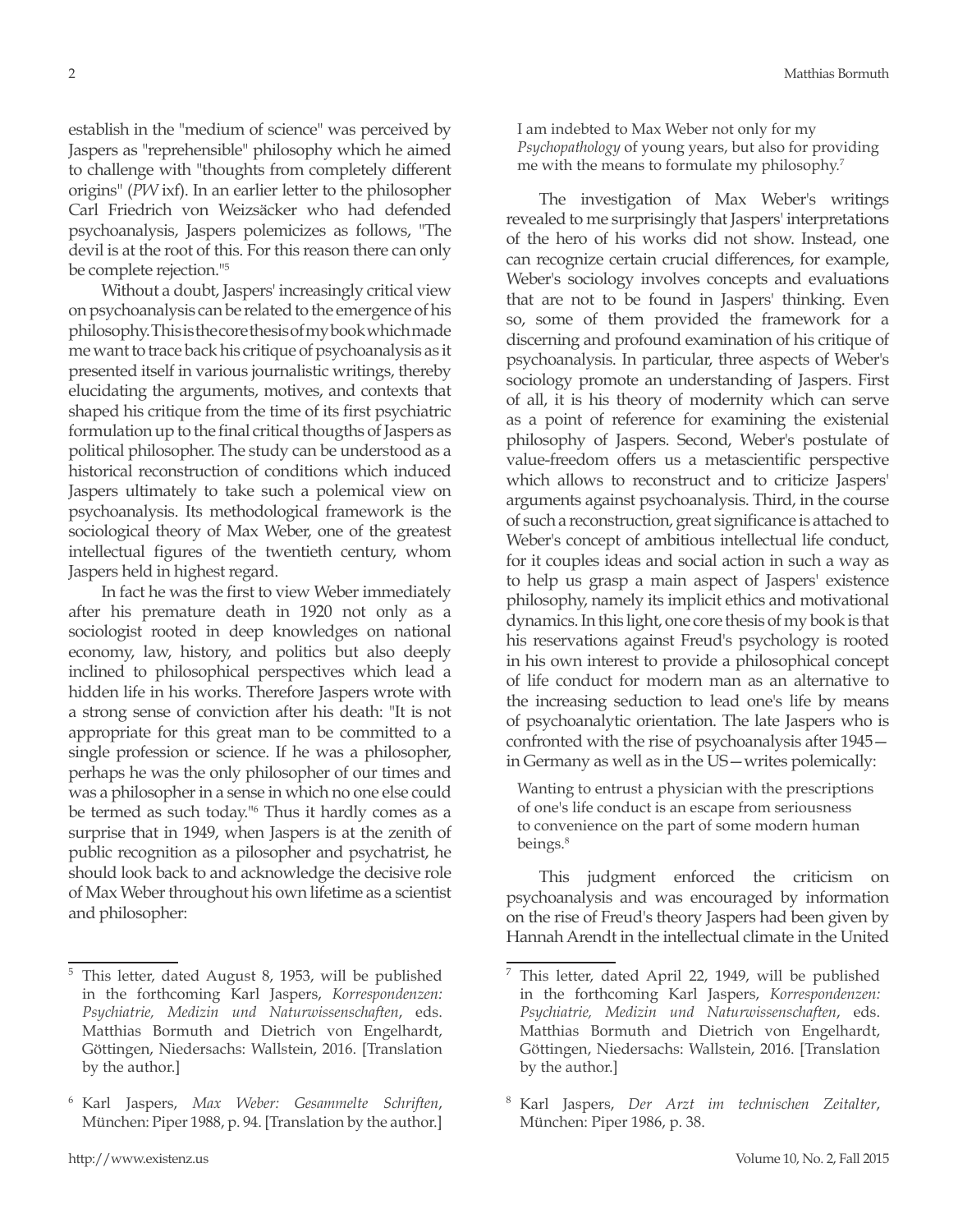establish in the "medium of science" was perceived by Jaspers as "reprehensible" philosophy which he aimed to challenge with "thoughts from completely different origins" (*PW* ixf). In an earlier letter to the philosopher Carl Friedrich von Weizsäcker who had defended psychoanalysis, Jaspers polemicizes as follows, "The devil is at the root of this. For this reason there can only be complete rejection."5

Without a doubt, Jaspers' increasingly critical view on psychoanalysis can be related to the emergence of his philosophy. This is the core thesis of my book which made me want to trace back his critique of psychoanalysis as it presented itself in various journalistic writings, thereby elucidating the arguments, motives, and contexts that shaped his critique from the time of its first psychiatric formulation up to the final critical thougths of Jaspers as political philosopher. The study can be understood as a historical reconstruction of conditions which induced Jaspers ultimately to take such a polemical view on psychoanalysis. Its methodological framework is the sociological theory of Max Weber, one of the greatest intellectual figures of the twentieth century, whom Jaspers held in highest regard.

In fact he was the first to view Weber immediately after his premature death in 1920 not only as a sociologist rooted in deep knowledges on national economy, law, history, and politics but also deeply inclined to philosophical perspectives which lead a hidden life in his works. Therefore Jaspers wrote with a strong sense of conviction after his death: "It is not appropriate for this great man to be committed to a single profession or science. If he was a philosopher, perhaps he was the only philosopher of our times and was a philosopher in a sense in which no one else could be termed as such today."6 Thus it hardly comes as a surprise that in 1949, when Jaspers is at the zenith of public recognition as a pilosopher and psychatrist, he should look back to and acknowledge the decisive role of Max Weber throughout his own lifetime as a scientist and philosopher:

I am indebted to Max Weber not only for my *Psychopathology* of young years, but also for providing me with the means to formulate my philosophy.7

The investigation of Max Weber's writings revealed to me surprisingly that Jaspers' interpretations of the hero of his works did not show. Instead, one can recognize certain crucial differences, for example, Weber's sociology involves concepts and evaluations that are not to be found in Jaspers' thinking. Even so, some of them provided the framework for a discerning and profound examination of his critique of psychoanalysis. In particular, three aspects of Weber's sociology promote an understanding of Jaspers. First of all, it is his theory of modernity which can serve as a point of reference for examining the existenial philosophy of Jaspers. Second, Weber's postulate of value-freedom offers us a metascientific perspective which allows to reconstruct and to criticize Jaspers' arguments against psychoanalysis. Third, in the course of such a reconstruction, great significance is attached to Weber's concept of ambitious intellectual life conduct, for it couples ideas and social action in such a way as to help us grasp a main aspect of Jaspers' existence philosophy, namely its implicit ethics and motivational dynamics. In this light, one core thesis of my book is that his reservations against Freud's psychology is rooted in his own interest to provide a philosophical concept of life conduct for modern man as an alternative to the increasing seduction to lead one's life by means of psychoanalytic orientation. The late Jaspers who is confronted with the rise of psychoanalysis after 1945 in Germany as well as in the US—writes polemically:

Wanting to entrust a physician with the prescriptions of one's life conduct is an escape from seriousness to convenience on the part of some modern human beings.<sup>8</sup>

This judgment enforced the criticism on psychoanalysis and was encouraged by information on the rise of Freud's theory Jaspers had been given by Hannah Arendt in the intellectual climate in the United

<sup>5</sup> This letter, dated August 8, 1953, will be published in the forthcoming Karl Jaspers, *Korrespondenzen: Psychiatrie, Medizin und Naturwissenschaften*, eds. Matthias Bormuth and Dietrich von Engelhardt, Göttingen, Niedersachs: Wallstein, 2016. [Translation by the author.]

<sup>6</sup> Karl Jaspers, *Max Weber: Gesammelte Schriften*, München: Piper 1988, p. 94. [Translation by the author.]

<sup>7</sup> This letter, dated April 22, 1949, will be published in the forthcoming Karl Jaspers, *Korrespondenzen: Psychiatrie, Medizin und Naturwissenschaften*, eds. Matthias Bormuth and Dietrich von Engelhardt, Göttingen, Niedersachs: Wallstein, 2016. [Translation by the author.]

<sup>8</sup> Karl Jaspers, *Der Arzt im technischen Zeitalter*, München: Piper 1986, p. 38.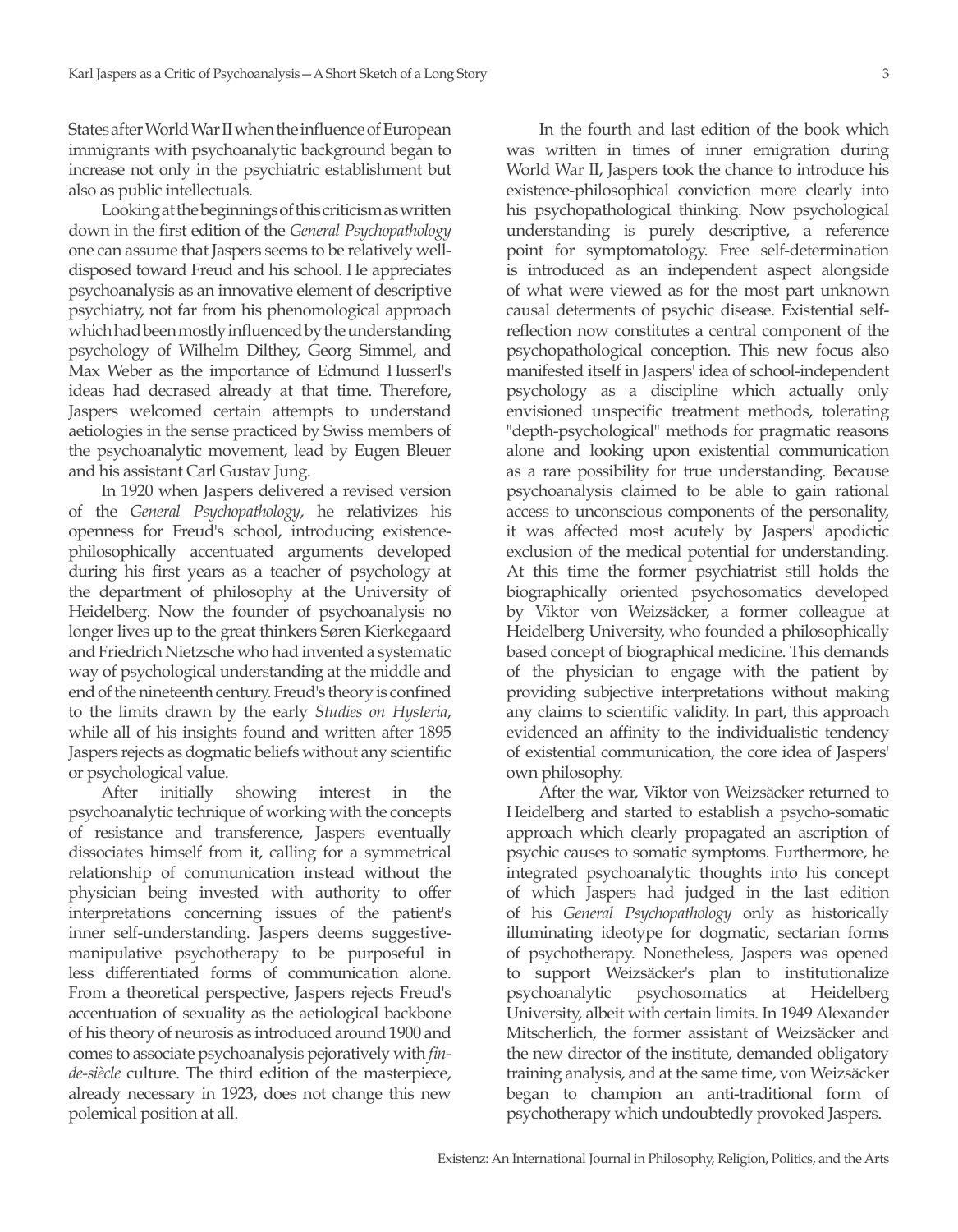States after World War II when the influence of European immigrants with psychoanalytic background began to increase not only in the psychiatric establishment but also as public intellectuals.

Looking at the beginnings of this criticism as written down in the first edition of the *General Psychopathology* one can assume that Jaspers seems to be relatively welldisposed toward Freud and his school. He appreciates psychoanalysis as an innovative element of descriptive psychiatry, not far from his phenomological approach which had been mostly influenced by the understanding psychology of Wilhelm Dilthey, Georg Simmel, and Max Weber as the importance of Edmund Husserl's ideas had decrased already at that time. Therefore, Jaspers welcomed certain attempts to understand aetiologies in the sense practiced by Swiss members of the psychoanalytic movement, lead by Eugen Bleuer and his assistant Carl Gustav Jung.

In 1920 when Jaspers delivered a revised version of the *General Psychopathology*, he relativizes his openness for Freud's school, introducing existencephilosophically accentuated arguments developed during his first years as a teacher of psychology at the department of philosophy at the University of Heidelberg. Now the founder of psychoanalysis no longer lives up to the great thinkers Søren Kierkegaard and Friedrich Nietzsche who had invented a systematic way of psychological understanding at the middle and end of the nineteenth century. Freud's theory is confined to the limits drawn by the early *Studies on Hysteria*, while all of his insights found and written after 1895 Jaspers rejects as dogmatic beliefs without any scientific or psychological value.

After initially showing interest in the psychoanalytic technique of working with the concepts of resistance and transference, Jaspers eventually dissociates himself from it, calling for a symmetrical relationship of communication instead without the physician being invested with authority to offer interpretations concerning issues of the patient's inner self-understanding. Jaspers deems suggestivemanipulative psychotherapy to be purposeful in less differentiated forms of communication alone. From a theoretical perspective, Jaspers rejects Freud's accentuation of sexuality as the aetiological backbone of his theory of neurosis as introduced around 1900 and comes to associate psychoanalysis pejoratively with *finde-siècle* culture. The third edition of the masterpiece, already necessary in 1923, does not change this new polemical position at all.

In the fourth and last edition of the book which was written in times of inner emigration during World War II, Jaspers took the chance to introduce his existence-philosophical conviction more clearly into his psychopathological thinking. Now psychological understanding is purely descriptive, a reference point for symptomatology. Free self-determination is introduced as an independent aspect alongside of what were viewed as for the most part unknown causal determents of psychic disease. Existential selfreflection now constitutes a central component of the psychopathological conception. This new focus also manifested itself in Jaspers' idea of school-independent psychology as a discipline which actually only envisioned unspecific treatment methods, tolerating "depth-psychological" methods for pragmatic reasons alone and looking upon existential communication as a rare possibility for true understanding. Because psychoanalysis claimed to be able to gain rational access to unconscious components of the personality, it was affected most acutely by Jaspers' apodictic exclusion of the medical potential for understanding. At this time the former psychiatrist still holds the biographically oriented psychosomatics developed by Viktor von Weizsäcker, a former colleague at Heidelberg University, who founded a philosophically based concept of biographical medicine. This demands of the physician to engage with the patient by providing subjective interpretations without making any claims to scientific validity. In part, this approach evidenced an affinity to the individualistic tendency of existential communication, the core idea of Jaspers' own philosophy.

After the war, Viktor von Weizsäcker returned to Heidelberg and started to establish a psycho-somatic approach which clearly propagated an ascription of psychic causes to somatic symptoms. Furthermore, he integrated psychoanalytic thoughts into his concept of which Jaspers had judged in the last edition of his *General Psychopathology* only as historically illuminating ideotype for dogmatic, sectarian forms of psychotherapy. Nonetheless, Jaspers was opened to support Weizsäcker's plan to institutionalize psychoanalytic psychosomatics at Heidelberg University, albeit with certain limits. In 1949 Alexander Mitscherlich, the former assistant of Weizsäcker and the new director of the institute, demanded obligatory training analysis, and at the same time, von Weizsäcker began to champion an anti-traditional form of psychotherapy which undoubtedly provoked Jaspers.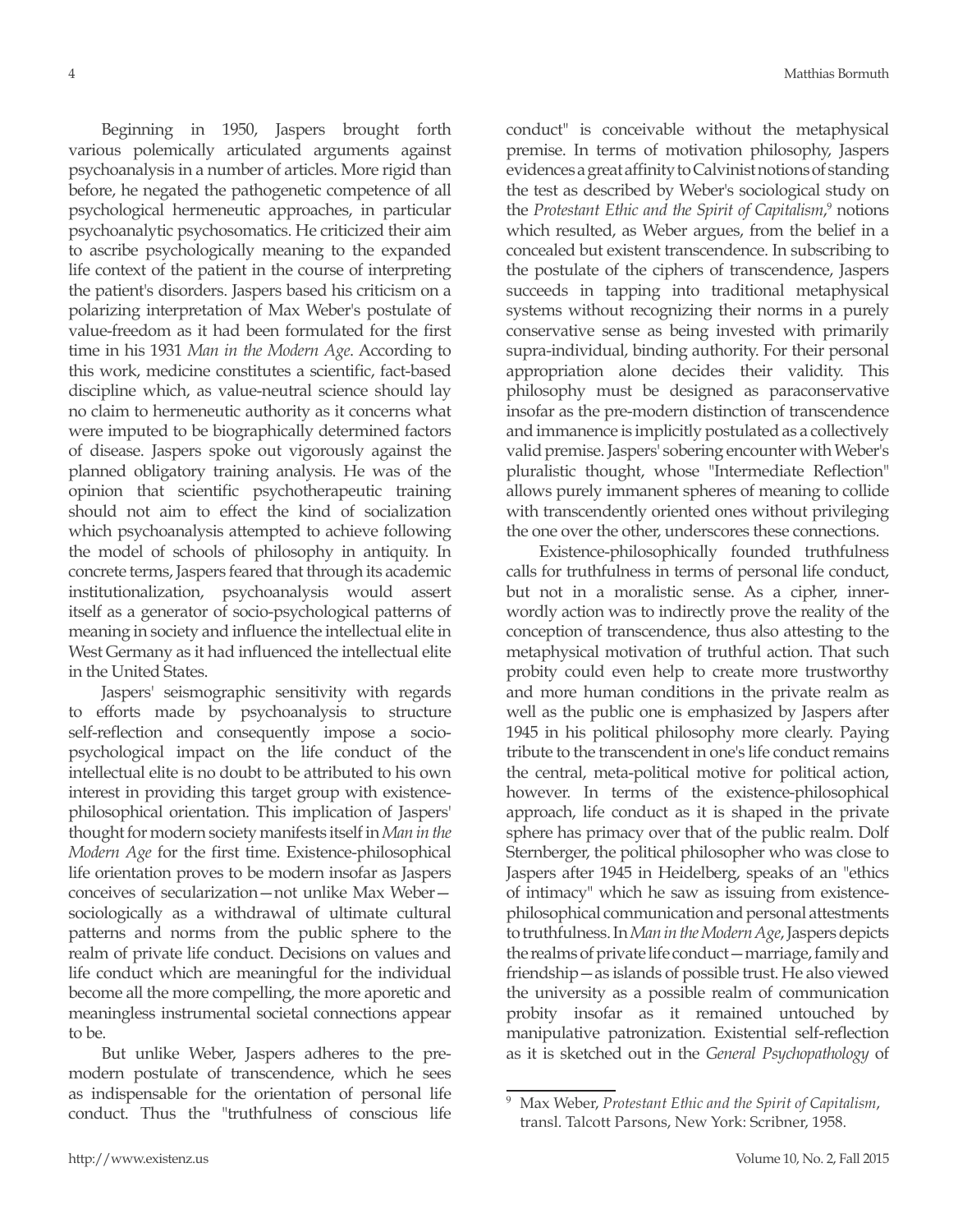Beginning in 1950, Jaspers brought forth various polemically articulated arguments against psychoanalysis in a number of articles. More rigid than before, he negated the pathogenetic competence of all psychological hermeneutic approaches, in particular psychoanalytic psychosomatics. He criticized their aim to ascribe psychologically meaning to the expanded life context of the patient in the course of interpreting the patient's disorders. Jaspers based his criticism on a polarizing interpretation of Max Weber's postulate of value-freedom as it had been formulated for the first time in his 1931 *Man in the Modern Age*. According to this work, medicine constitutes a scientific, fact-based discipline which, as value-neutral science should lay no claim to hermeneutic authority as it concerns what were imputed to be biographically determined factors of disease. Jaspers spoke out vigorously against the planned obligatory training analysis. He was of the opinion that scientific psychotherapeutic training should not aim to effect the kind of socialization which psychoanalysis attempted to achieve following the model of schools of philosophy in antiquity. In concrete terms, Jaspers feared that through its academic institutionalization, psychoanalysis would assert itself as a generator of socio-psychological patterns of meaning in society and influence the intellectual elite in West Germany as it had influenced the intellectual elite in the United States.

Jaspers' seismographic sensitivity with regards to efforts made by psychoanalysis to structure self-reflection and consequently impose a sociopsychological impact on the life conduct of the intellectual elite is no doubt to be attributed to his own interest in providing this target group with existencephilosophical orientation. This implication of Jaspers' thought for modern society manifests itself in *Man in the Modern Age* for the first time. Existence-philosophical life orientation proves to be modern insofar as Jaspers conceives of secularization—not unlike Max Weber sociologically as a withdrawal of ultimate cultural patterns and norms from the public sphere to the realm of private life conduct. Decisions on values and life conduct which are meaningful for the individual become all the more compelling, the more aporetic and meaningless instrumental societal connections appear to be.

But unlike Weber, Jaspers adheres to the premodern postulate of transcendence, which he sees as indispensable for the orientation of personal life conduct. Thus the "truthfulness of conscious life

conduct" is conceivable without the metaphysical premise. In terms of motivation philosophy, Jaspers evidences a great affinity to Calvinist notions of standing the test as described by Weber's sociological study on the *Protestant Ethic and the Spirit of Capitalism*,<sup>9</sup> notions which resulted, as Weber argues, from the belief in a concealed but existent transcendence. In subscribing to the postulate of the ciphers of transcendence, Jaspers succeeds in tapping into traditional metaphysical systems without recognizing their norms in a purely conservative sense as being invested with primarily supra-individual, binding authority. For their personal appropriation alone decides their validity. This philosophy must be designed as paraconservative insofar as the pre-modern distinction of transcendence and immanence is implicitly postulated as a collectively valid premise. Jaspers' sobering encounter with Weber's pluralistic thought, whose "Intermediate Reflection" allows purely immanent spheres of meaning to collide with transcendently oriented ones without privileging the one over the other, underscores these connections.

Existence-philosophically founded truthfulness calls for truthfulness in terms of personal life conduct, but not in a moralistic sense. As a cipher, innerwordly action was to indirectly prove the reality of the conception of transcendence, thus also attesting to the metaphysical motivation of truthful action. That such probity could even help to create more trustworthy and more human conditions in the private realm as well as the public one is emphasized by Jaspers after 1945 in his political philosophy more clearly. Paying tribute to the transcendent in one's life conduct remains the central, meta-political motive for political action, however. In terms of the existence-philosophical approach, life conduct as it is shaped in the private sphere has primacy over that of the public realm. Dolf Sternberger, the political philosopher who was close to Jaspers after 1945 in Heidelberg, speaks of an "ethics of intimacy" which he saw as issuing from existencephilosophical communication and personal attestments to truthfulness. In *Man in the Modern Age*, Jaspers depicts the realms of private life conduct—marriage, family and friendship—as islands of possible trust. He also viewed the university as a possible realm of communication probity insofar as it remained untouched by manipulative patronization. Existential self-reflection as it is sketched out in the *General Psychopathology* of

<sup>9</sup> Max Weber, *Protestant Ethic and the Spirit of Capitalism*, transl. Talcott Parsons, New York: Scribner, 1958.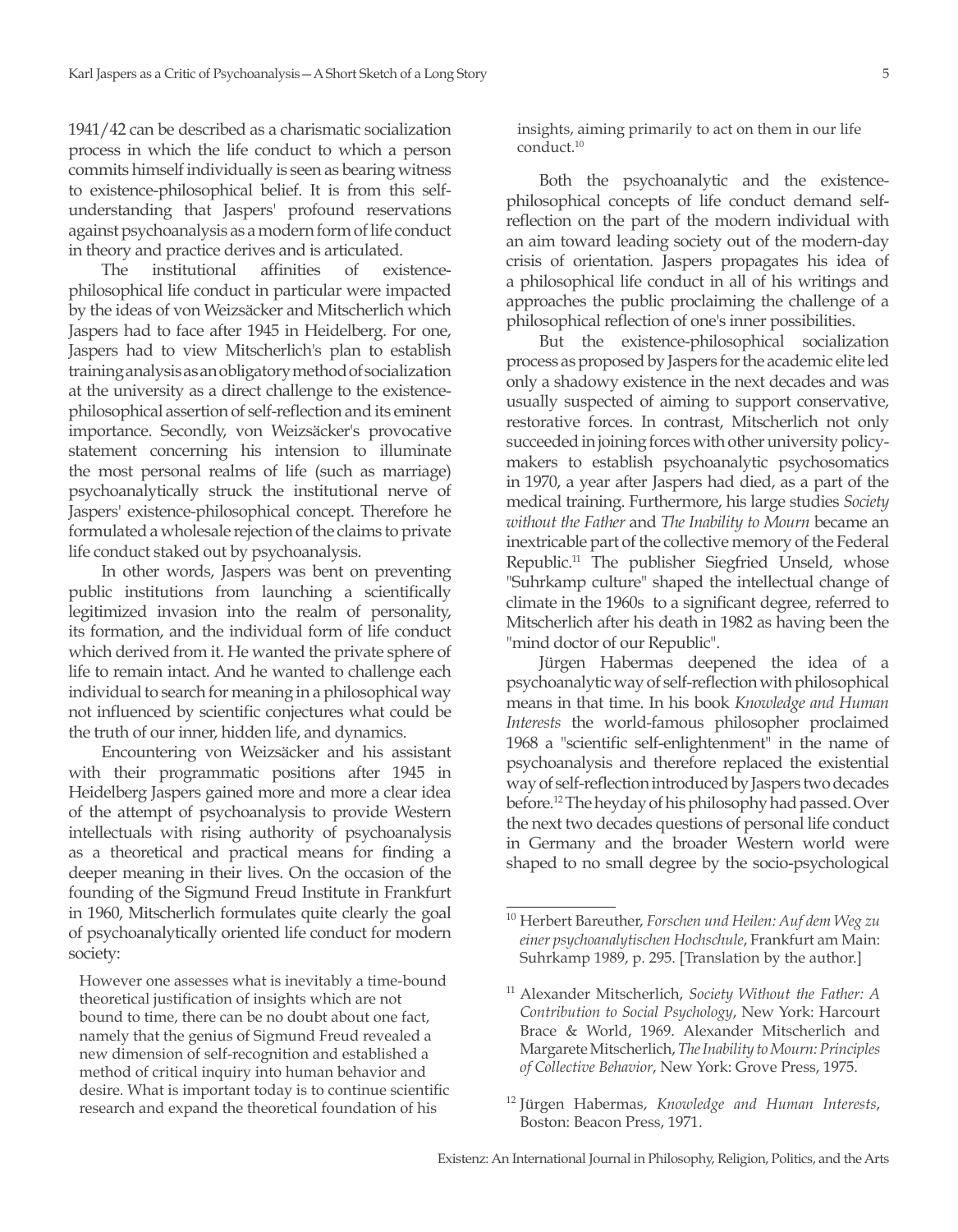1941/42 can be described as a charismatic socialization process in which the life conduct to which a person commits himself individually is seen as bearing witness to existence-philosophical belief. It is from this selfunderstanding that Jaspers' profound reservations against psychoanalysis as a modern form of life conduct in theory and practice derives and is articulated.

The institutional affinities of existencephilosophical life conduct in particular were impacted by the ideas of von Weizsäcker and Mitscherlich which Jaspers had to face after 1945 in Heidelberg. For one, Jaspers had to view Mitscherlich's plan to establish training analysis as an obligatory method of socialization at the university as a direct challenge to the existencephilosophical assertion of self-reflection and its eminent importance. Secondly, von Weizsäcker's provocative statement concerning his intension to illuminate the most personal realms of life (such as marriage) psychoanalytically struck the institutional nerve of Jaspers' existence-philosophical concept. Therefore he formulated a wholesale rejection of the claims to private life conduct staked out by psychoanalysis.

In other words, Jaspers was bent on preventing public institutions from launching a scientifically legitimized invasion into the realm of personality, its formation, and the individual form of life conduct which derived from it. He wanted the private sphere of life to remain intact. And he wanted to challenge each individual to search for meaning in a philosophical way not influenced by scientific conjectures what could be the truth of our inner, hidden life, and dynamics.

Encountering von Weizsäcker and his assistant with their programmatic positions after 1945 in Heidelberg Jaspers gained more and more a clear idea of the attempt of psychoanalysis to provide Western intellectuals with rising authority of psychoanalysis as a theoretical and practical means for finding a deeper meaning in their lives. On the occasion of the founding of the Sigmund Freud Institute in Frankfurt in 1960, Mitscherlich formulates quite clearly the goal of psychoanalytically oriented life conduct for modern society:

However one assesses what is inevitably a time-bound theoretical justification of insights which are not bound to time, there can be no doubt about one fact, namely that the genius of Sigmund Freud revealed a new dimension of self-recognition and established a method of critical inquiry into human behavior and desire. What is important today is to continue scientific research and expand the theoretical foundation of his

insights, aiming primarily to act on them in our life conduct.10

Both the psychoanalytic and the existencephilosophical concepts of life conduct demand selfreflection on the part of the modern individual with an aim toward leading society out of the modern-day crisis of orientation. Jaspers propagates his idea of a philosophical life conduct in all of his writings and approaches the public proclaiming the challenge of a philosophical reflection of one's inner possibilities.

But the existence-philosophical socialization process as proposed by Jaspers for the academic elite led only a shadowy existence in the next decades and was usually suspected of aiming to support conservative, restorative forces. In contrast, Mitscherlich not only succeeded in joining forces with other university policymakers to establish psychoanalytic psychosomatics in 1970, a year after Jaspers had died, as a part of the medical training. Furthermore, his large studies *Society without the Father* and *The Inability to Mourn* became an inextricable part of the collective memory of the Federal Republic.11 The publisher Siegfried Unseld, whose "Suhrkamp culture" shaped the intellectual change of climate in the 1960s to a significant degree, referred to Mitscherlich after his death in 1982 as having been the "mind doctor of our Republic".

Jürgen Habermas deepened the idea of a psychoanalytic way of self-reflection with philosophical means in that time. In his book *Knowledge and Human Interests* the world-famous philosopher proclaimed 1968 a "scientific self-enlightenment" in the name of psychoanalysis and therefore replaced the existential way of self-reflection introduced by Jaspers two decades before.12 The heyday of his philosophy had passed. Over the next two decades questions of personal life conduct in Germany and the broader Western world were shaped to no small degree by the socio-psychological

<sup>10</sup> Herbert Bareuther, *Forschen und Heilen: Auf dem Weg zu einer psychoanalytischen Hochschule*, Frankfurt am Main: Suhrkamp 1989, p. 295. [Translation by the author.]

<sup>11</sup> Alexander Mitscherlich, *Society Without the Father: A Contribution to Social Psychology*, New York: Harcourt Brace & World, 1969. Alexander Mitscherlich and Margarete Mitscherlich, *The Inability to Mourn: Principles of Collective Behavior*, New York: Grove Press, 1975.

<sup>12</sup> Jürgen Habermas, *Knowledge and Human Interests*, Boston: Beacon Press, 1971.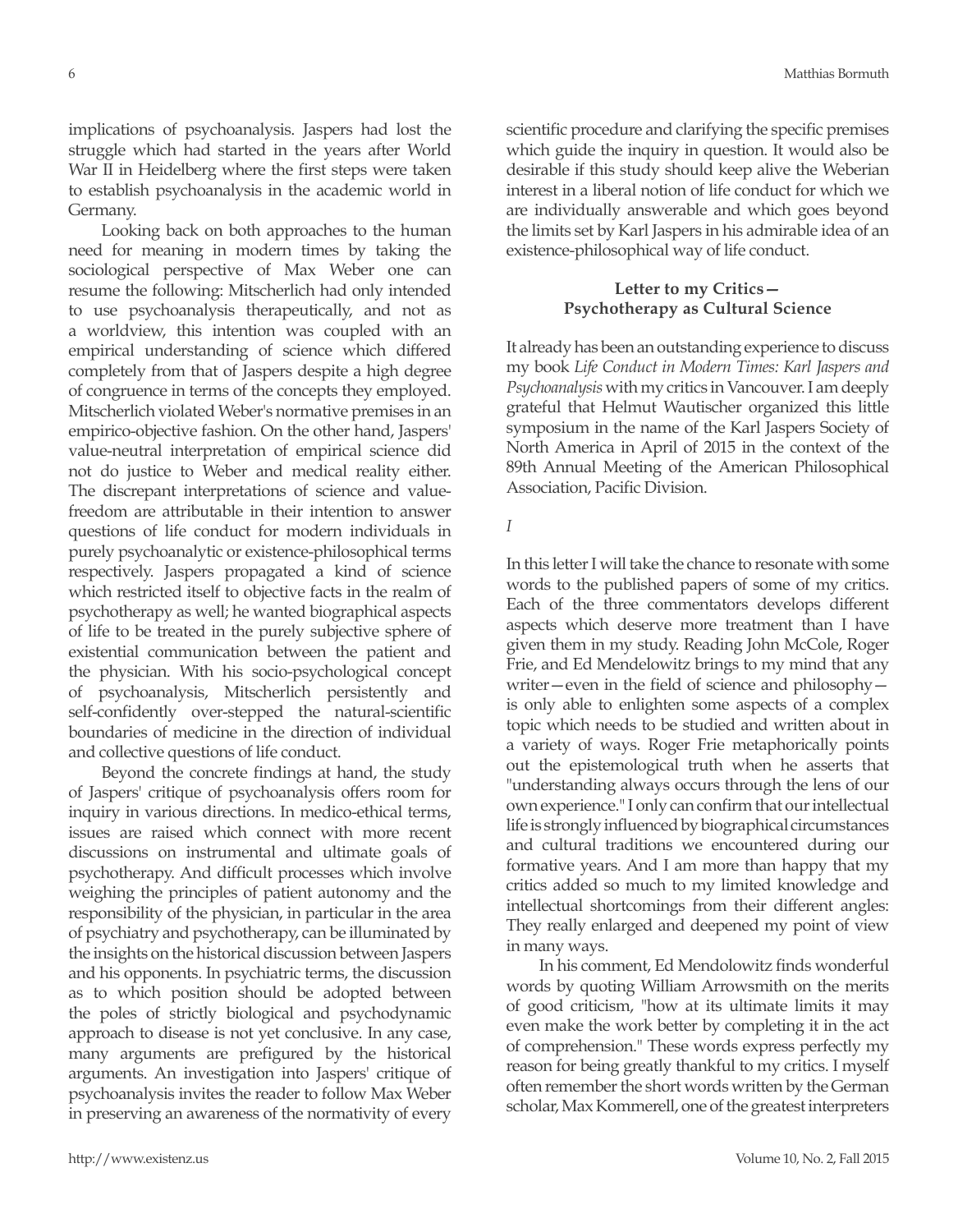implications of psychoanalysis. Jaspers had lost the struggle which had started in the years after World War II in Heidelberg where the first steps were taken to establish psychoanalysis in the academic world in Germany.

Looking back on both approaches to the human need for meaning in modern times by taking the sociological perspective of Max Weber one can resume the following: Mitscherlich had only intended to use psychoanalysis therapeutically, and not as a worldview, this intention was coupled with an empirical understanding of science which differed completely from that of Jaspers despite a high degree of congruence in terms of the concepts they employed. Mitscherlich violated Weber's normative premises in an empirico-objective fashion. On the other hand, Jaspers' value-neutral interpretation of empirical science did not do justice to Weber and medical reality either. The discrepant interpretations of science and valuefreedom are attributable in their intention to answer questions of life conduct for modern individuals in purely psychoanalytic or existence-philosophical terms respectively. Jaspers propagated a kind of science which restricted itself to objective facts in the realm of psychotherapy as well; he wanted biographical aspects of life to be treated in the purely subjective sphere of existential communication between the patient and the physician. With his socio-psychological concept of psychoanalysis, Mitscherlich persistently and self-confidently over-stepped the natural-scientific boundaries of medicine in the direction of individual and collective questions of life conduct.

Beyond the concrete findings at hand, the study of Jaspers' critique of psychoanalysis offers room for inquiry in various directions. In medico-ethical terms, issues are raised which connect with more recent discussions on instrumental and ultimate goals of psychotherapy. And difficult processes which involve weighing the principles of patient autonomy and the responsibility of the physician, in particular in the area of psychiatry and psychotherapy, can be illuminated by the insights on the historical discussion between Jaspers and his opponents. In psychiatric terms, the discussion as to which position should be adopted between the poles of strictly biological and psychodynamic approach to disease is not yet conclusive. In any case, many arguments are prefigured by the historical arguments. An investigation into Jaspers' critique of psychoanalysis invites the reader to follow Max Weber in preserving an awareness of the normativity of every scientific procedure and clarifying the specific premises which guide the inquiry in question. It would also be desirable if this study should keep alive the Weberian interest in a liberal notion of life conduct for which we are individually answerable and which goes beyond the limits set by Karl Jaspers in his admirable idea of an existence-philosophical way of life conduct.

## **Letter to my Critics— Psychotherapy as Cultural Science**

It already has been an outstanding experience to discuss my book *Life Conduct in Modern Times: Karl Jaspers and Psychoanalysis* with my critics in Vancouver. I am deeply grateful that Helmut Wautischer organized this little symposium in the name of the Karl Jaspers Society of North America in April of 2015 in the context of the 89th Annual Meeting of the American Philosophical Association, Pacific Division.

*I*

In this letter I will take the chance to resonate with some words to the published papers of some of my critics. Each of the three commentators develops different aspects which deserve more treatment than I have given them in my study. Reading John McCole, Roger Frie, and Ed Mendelowitz brings to my mind that any writer—even in the field of science and philosophy is only able to enlighten some aspects of a complex topic which needs to be studied and written about in a variety of ways. Roger Frie metaphorically points out the epistemological truth when he asserts that "understanding always occurs through the lens of our own experience." I only can confirm that our intellectual life is strongly influenced by biographical circumstances and cultural traditions we encountered during our formative years. And I am more than happy that my critics added so much to my limited knowledge and intellectual shortcomings from their different angles: They really enlarged and deepened my point of view in many ways.

In his comment, Ed Mendolowitz finds wonderful words by quoting William Arrowsmith on the merits of good criticism, "how at its ultimate limits it may even make the work better by completing it in the act of comprehension." These words express perfectly my reason for being greatly thankful to my critics. I myself often remember the short words written by the German scholar, Max Kommerell, one of the greatest interpreters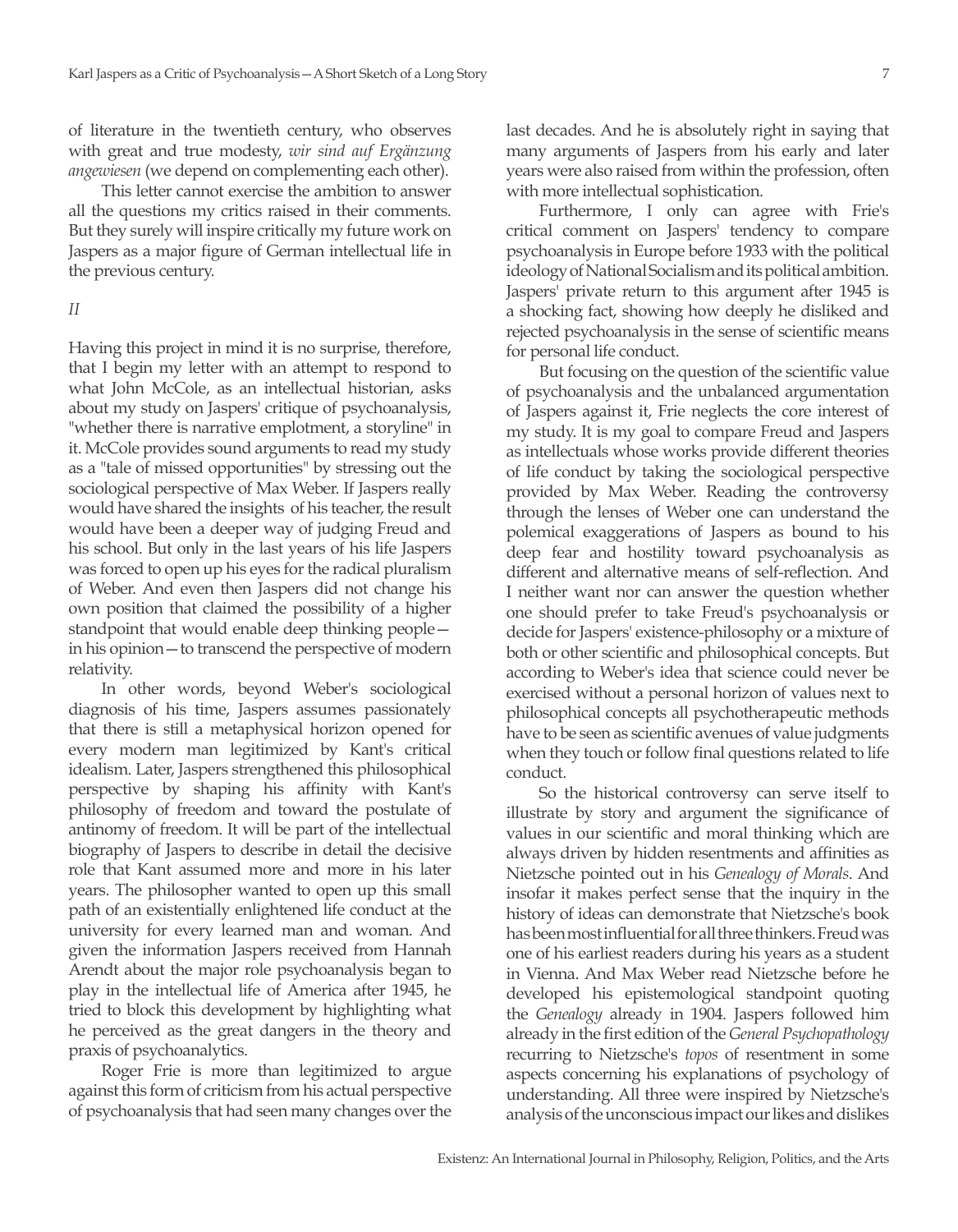of literature in the twentieth century, who observes with great and true modesty, *wir sind auf Ergänzung angewiesen* (we depend on complementing each other).

This letter cannot exercise the ambition to answer all the questions my critics raised in their comments. But they surely will inspire critically my future work on Jaspers as a major figure of German intellectual life in the previous century.

Having this project in mind it is no surprise, therefore, that I begin my letter with an attempt to respond to what John McCole, as an intellectual historian, asks about my study on Jaspers' critique of psychoanalysis, "whether there is narrative emplotment, a storyline" in it. McCole provides sound arguments to read my study as a "tale of missed opportunities" by stressing out the sociological perspective of Max Weber. If Jaspers really would have shared the insights of his teacher, the result would have been a deeper way of judging Freud and his school. But only in the last years of his life Jaspers was forced to open up his eyes for the radical pluralism of Weber. And even then Jaspers did not change his own position that claimed the possibility of a higher standpoint that would enable deep thinking people in his opinion—to transcend the perspective of modern relativity.

In other words, beyond Weber's sociological diagnosis of his time, Jaspers assumes passionately that there is still a metaphysical horizon opened for every modern man legitimized by Kant's critical idealism. Later, Jaspers strengthened this philosophical perspective by shaping his affinity with Kant's philosophy of freedom and toward the postulate of antinomy of freedom. It will be part of the intellectual biography of Jaspers to describe in detail the decisive role that Kant assumed more and more in his later years. The philosopher wanted to open up this small path of an existentially enlightened life conduct at the university for every learned man and woman. And given the information Jaspers received from Hannah Arendt about the major role psychoanalysis began to play in the intellectual life of America after 1945, he tried to block this development by highlighting what he perceived as the great dangers in the theory and praxis of psychoanalytics.

Roger Frie is more than legitimized to argue against this form of criticism from his actual perspective of psychoanalysis that had seen many changes over the

last decades. And he is absolutely right in saying that many arguments of Jaspers from his early and later years were also raised from within the profession, often with more intellectual sophistication.

Furthermore, I only can agree with Frie's critical comment on Jaspers' tendency to compare psychoanalysis in Europe before 1933 with the political ideology of National Socialism and its political ambition. Jaspers' private return to this argument after 1945 is a shocking fact, showing how deeply he disliked and rejected psychoanalysis in the sense of scientific means for personal life conduct.

But focusing on the question of the scientific value of psychoanalysis and the unbalanced argumentation of Jaspers against it, Frie neglects the core interest of my study. It is my goal to compare Freud and Jaspers as intellectuals whose works provide different theories of life conduct by taking the sociological perspective provided by Max Weber. Reading the controversy through the lenses of Weber one can understand the polemical exaggerations of Jaspers as bound to his deep fear and hostility toward psychoanalysis as different and alternative means of self-reflection. And I neither want nor can answer the question whether one should prefer to take Freud's psychoanalysis or decide for Jaspers' existence-philosophy or a mixture of both or other scientific and philosophical concepts. But according to Weber's idea that science could never be exercised without a personal horizon of values next to philosophical concepts all psychotherapeutic methods have to be seen as scientific avenues of value judgments when they touch or follow final questions related to life conduct.

So the historical controversy can serve itself to illustrate by story and argument the significance of values in our scientific and moral thinking which are always driven by hidden resentments and affinities as Nietzsche pointed out in his *Genealogy of Morals*. And insofar it makes perfect sense that the inquiry in the history of ideas can demonstrate that Nietzsche's book has been most influential for all three thinkers. Freud was one of his earliest readers during his years as a student in Vienna. And Max Weber read Nietzsche before he developed his epistemological standpoint quoting the *Genealogy* already in 1904. Jaspers followed him already in the first edition of the *General Psychopathology* recurring to Nietzsche's *topos* of resentment in some aspects concerning his explanations of psychology of understanding. All three were inspired by Nietzsche's analysis of the unconscious impact our likes and dislikes

*II*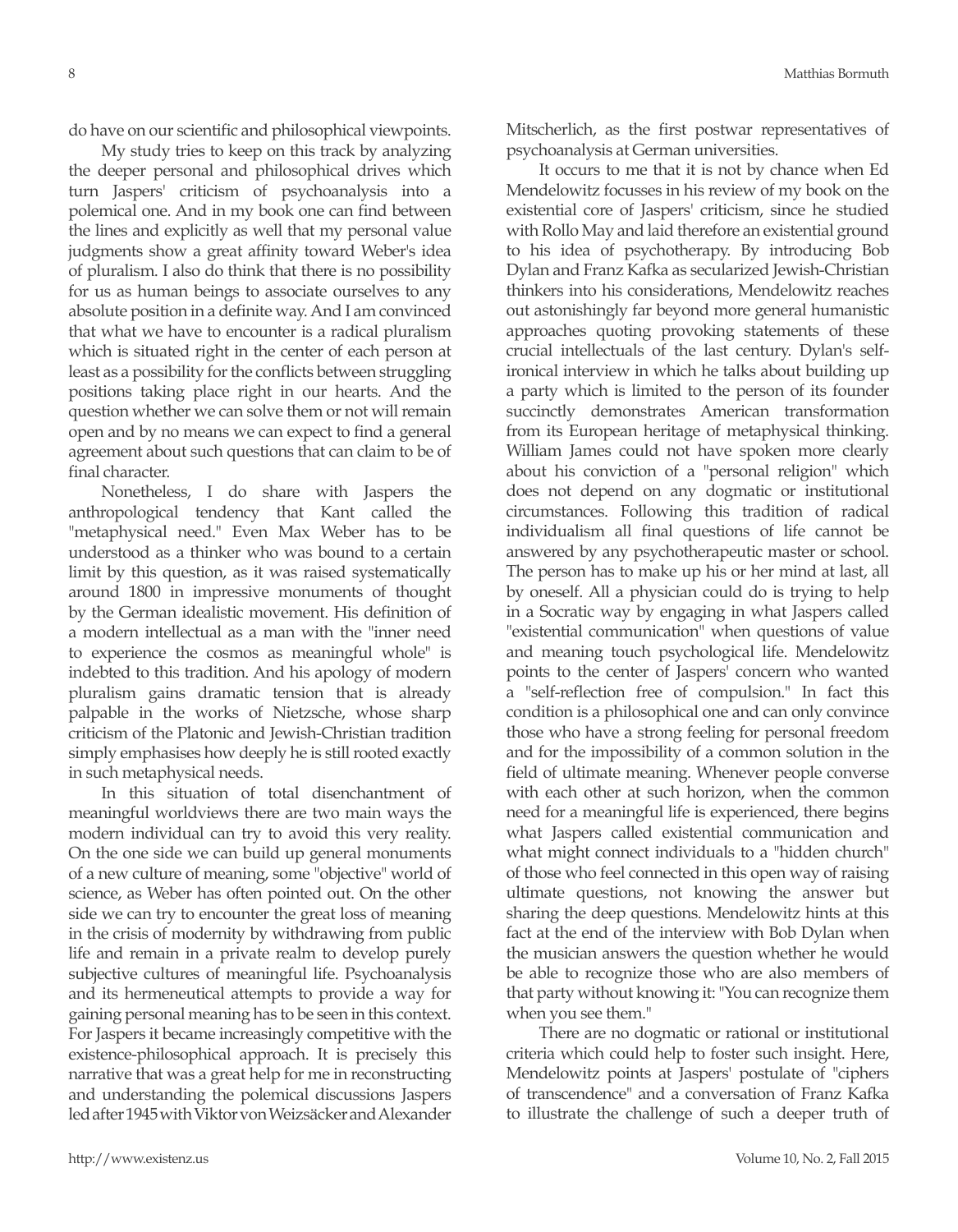do have on our scientific and philosophical viewpoints.

My study tries to keep on this track by analyzing the deeper personal and philosophical drives which turn Jaspers' criticism of psychoanalysis into a polemical one. And in my book one can find between the lines and explicitly as well that my personal value judgments show a great affinity toward Weber's idea of pluralism. I also do think that there is no possibility for us as human beings to associate ourselves to any absolute position in a definite way. And I am convinced that what we have to encounter is a radical pluralism which is situated right in the center of each person at least as a possibility for the conflicts between struggling positions taking place right in our hearts. And the question whether we can solve them or not will remain open and by no means we can expect to find a general agreement about such questions that can claim to be of final character.

Nonetheless, I do share with Jaspers the anthropological tendency that Kant called the "metaphysical need." Even Max Weber has to be understood as a thinker who was bound to a certain limit by this question, as it was raised systematically around 1800 in impressive monuments of thought by the German idealistic movement. His definition of a modern intellectual as a man with the "inner need to experience the cosmos as meaningful whole" is indebted to this tradition. And his apology of modern pluralism gains dramatic tension that is already palpable in the works of Nietzsche, whose sharp criticism of the Platonic and Jewish-Christian tradition simply emphasises how deeply he is still rooted exactly in such metaphysical needs.

In this situation of total disenchantment of meaningful worldviews there are two main ways the modern individual can try to avoid this very reality. On the one side we can build up general monuments of a new culture of meaning, some "objective" world of science, as Weber has often pointed out. On the other side we can try to encounter the great loss of meaning in the crisis of modernity by withdrawing from public life and remain in a private realm to develop purely subjective cultures of meaningful life. Psychoanalysis and its hermeneutical attempts to provide a way for gaining personal meaning has to be seen in this context. For Jaspers it became increasingly competitive with the existence-philosophical approach. It is precisely this narrative that was a great help for me in reconstructing and understanding the polemical discussions Jaspers led after 1945 with Viktor von Weizsäcker and Alexander

Mitscherlich, as the first postwar representatives of psychoanalysis at German universities.

It occurs to me that it is not by chance when Ed Mendelowitz focusses in his review of my book on the existential core of Jaspers' criticism, since he studied with Rollo May and laid therefore an existential ground to his idea of psychotherapy. By introducing Bob Dylan and Franz Kafka as secularized Jewish-Christian thinkers into his considerations, Mendelowitz reaches out astonishingly far beyond more general humanistic approaches quoting provoking statements of these crucial intellectuals of the last century. Dylan's selfironical interview in which he talks about building up a party which is limited to the person of its founder succinctly demonstrates American transformation from its European heritage of metaphysical thinking. William James could not have spoken more clearly about his conviction of a "personal religion" which does not depend on any dogmatic or institutional circumstances. Following this tradition of radical individualism all final questions of life cannot be answered by any psychotherapeutic master or school. The person has to make up his or her mind at last, all by oneself. All a physician could do is trying to help in a Socratic way by engaging in what Jaspers called "existential communication" when questions of value and meaning touch psychological life. Mendelowitz points to the center of Jaspers' concern who wanted a "self-reflection free of compulsion." In fact this condition is a philosophical one and can only convince those who have a strong feeling for personal freedom and for the impossibility of a common solution in the field of ultimate meaning. Whenever people converse with each other at such horizon, when the common need for a meaningful life is experienced, there begins what Jaspers called existential communication and what might connect individuals to a "hidden church" of those who feel connected in this open way of raising ultimate questions, not knowing the answer but sharing the deep questions. Mendelowitz hints at this fact at the end of the interview with Bob Dylan when the musician answers the question whether he would be able to recognize those who are also members of that party without knowing it: "You can recognize them when you see them."

There are no dogmatic or rational or institutional criteria which could help to foster such insight. Here, Mendelowitz points at Jaspers' postulate of "ciphers of transcendence" and a conversation of Franz Kafka to illustrate the challenge of such a deeper truth of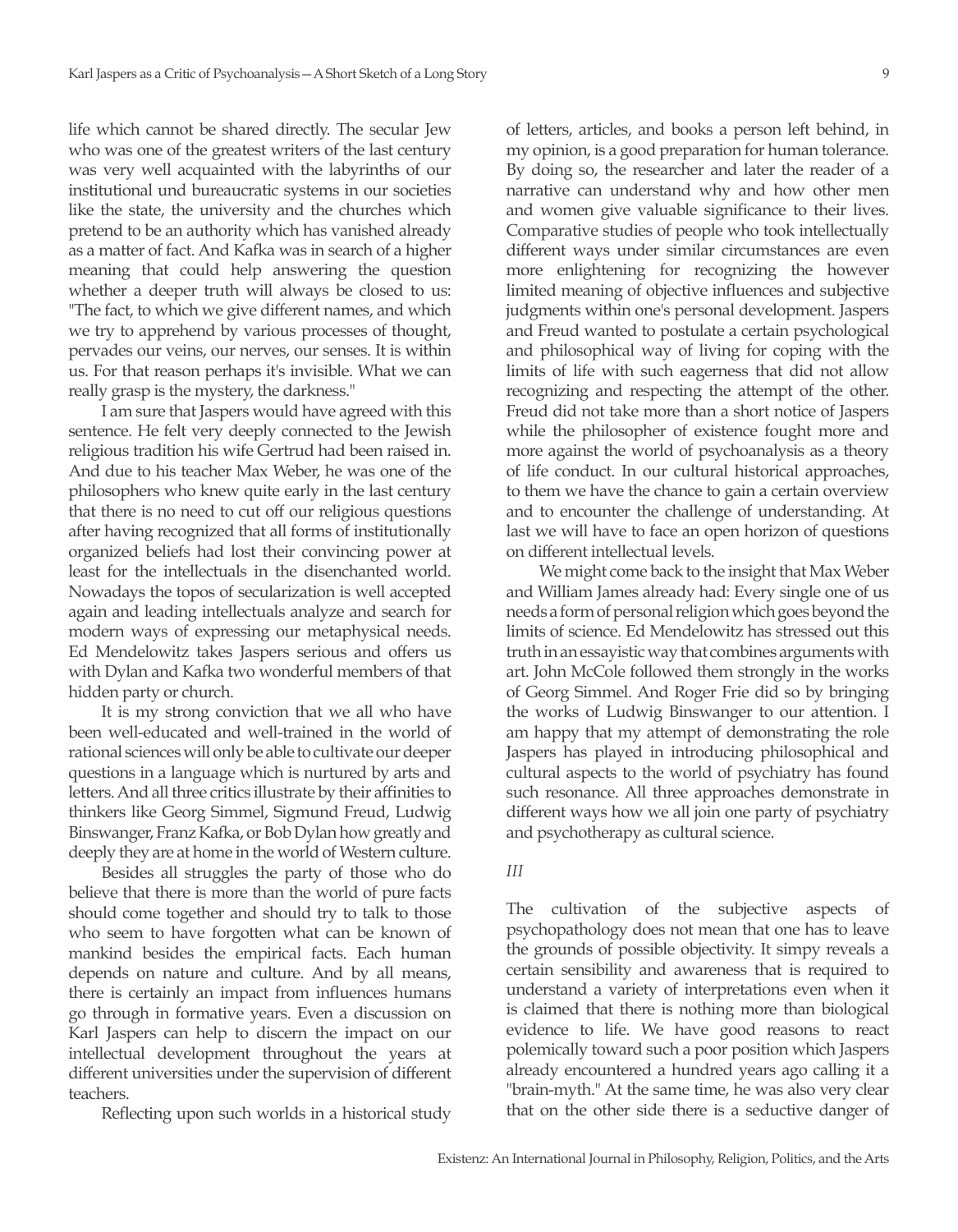life which cannot be shared directly. The secular Jew who was one of the greatest writers of the last century was very well acquainted with the labyrinths of our institutional und bureaucratic systems in our societies like the state, the university and the churches which pretend to be an authority which has vanished already as a matter of fact. And Kafka was in search of a higher meaning that could help answering the question whether a deeper truth will always be closed to us: "The fact, to which we give different names, and which we try to apprehend by various processes of thought, pervades our veins, our nerves, our senses. It is within us. For that reason perhaps it's invisible. What we can really grasp is the mystery, the darkness."

I am sure that Jaspers would have agreed with this sentence. He felt very deeply connected to the Jewish religious tradition his wife Gertrud had been raised in. And due to his teacher Max Weber, he was one of the philosophers who knew quite early in the last century that there is no need to cut off our religious questions after having recognized that all forms of institutionally organized beliefs had lost their convincing power at least for the intellectuals in the disenchanted world. Nowadays the topos of secularization is well accepted again and leading intellectuals analyze and search for modern ways of expressing our metaphysical needs. Ed Mendelowitz takes Jaspers serious and offers us with Dylan and Kafka two wonderful members of that hidden party or church.

It is my strong conviction that we all who have been well-educated and well-trained in the world of rational sciences will only be able to cultivate our deeper questions in a language which is nurtured by arts and letters. And all three critics illustrate by their affinities to thinkers like Georg Simmel, Sigmund Freud, Ludwig Binswanger, Franz Kafka, or Bob Dylan how greatly and deeply they are at home in the world of Western culture.

Besides all struggles the party of those who do believe that there is more than the world of pure facts should come together and should try to talk to those who seem to have forgotten what can be known of mankind besides the empirical facts. Each human depends on nature and culture. And by all means, there is certainly an impact from influences humans go through in formative years. Even a discussion on Karl Jaspers can help to discern the impact on our intellectual development throughout the years at different universities under the supervision of different teachers.

Reflecting upon such worlds in a historical study

of letters, articles, and books a person left behind, in my opinion, is a good preparation for human tolerance. By doing so, the researcher and later the reader of a narrative can understand why and how other men and women give valuable significance to their lives. Comparative studies of people who took intellectually different ways under similar circumstances are even more enlightening for recognizing the however limited meaning of objective influences and subjective judgments within one's personal development. Jaspers and Freud wanted to postulate a certain psychological and philosophical way of living for coping with the limits of life with such eagerness that did not allow recognizing and respecting the attempt of the other. Freud did not take more than a short notice of Jaspers while the philosopher of existence fought more and more against the world of psychoanalysis as a theory of life conduct. In our cultural historical approaches, to them we have the chance to gain a certain overview and to encounter the challenge of understanding. At last we will have to face an open horizon of questions on different intellectual levels.

We might come back to the insight that Max Weber and William James already had: Every single one of us needs a form of personal religion which goes beyond the limits of science. Ed Mendelowitz has stressed out this truth in an essayistic way that combines arguments with art. John McCole followed them strongly in the works of Georg Simmel. And Roger Frie did so by bringing the works of Ludwig Binswanger to our attention. I am happy that my attempt of demonstrating the role Jaspers has played in introducing philosophical and cultural aspects to the world of psychiatry has found such resonance. All three approaches demonstrate in different ways how we all join one party of psychiatry and psychotherapy as cultural science.

## *III*

The cultivation of the subjective aspects of psychopathology does not mean that one has to leave the grounds of possible objectivity. It simpy reveals a certain sensibility and awareness that is required to understand a variety of interpretations even when it is claimed that there is nothing more than biological evidence to life. We have good reasons to react polemically toward such a poor position which Jaspers already encountered a hundred years ago calling it a "brain-myth." At the same time, he was also very clear that on the other side there is a seductive danger of